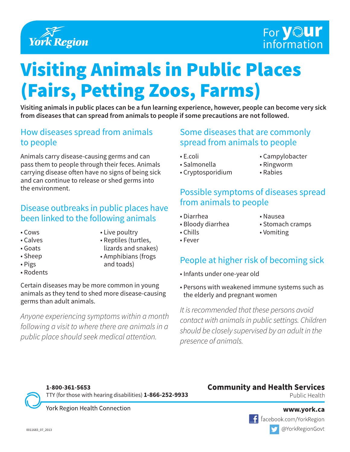

### For **your** information

# Visiting Animals in Public Places (Fairs, Petting Zoos, Farms)

**Visiting animals in public places can be a fun learning experience, however, people can become very sick from diseases that can spread from animals to people if some precautions are not followed.**

### How diseases spread from animals to people

Animals carry disease-causing germs and can pass them to people through their feces. Animals carrying disease often have no signs of being sick and can continue to release or shed germs into the environment.

#### Disease outbreaks in public places have been linked to the following animals

- Cows
- Calves
- Goats
- Sheep
- Pigs
- Rodents
- Live poultry
- Reptiles (turtles, lizards and snakes)
- Amphibians (frogs
- and toads)
- 

Certain diseases may be more common in young animals as they tend to shed more disease-causing germs than adult animals.

*Anyone experiencing symptoms within a month following a visit to where there are animals in a public place should seek medical attention.*

### Some diseases that are commonly spread from animals to people

- E.coli
- Salmonella
- Cryptosporidium
- Campylobacter
- Ringworm
- Rabies

### Possible symptoms of diseases spread from animals to people

• Diarrhea

- Nausea
- Bloody diarrhea • Chills
- Stomach cramps
- Vomiting

• Fever

### People at higher risk of becoming sick

- Infants under one-year old
- Persons with weakened immune systems such as the elderly and pregnant women

*It is recommended that these persons avoid contact with animals in public settings. Children should be closely supervised by an adult in the presence of animals.*

TTY (for those with hearing disabilities) **1-866-252-9933** York Region Health Connection

1-800-361-5653

## Public Health

**Community and Health Services**